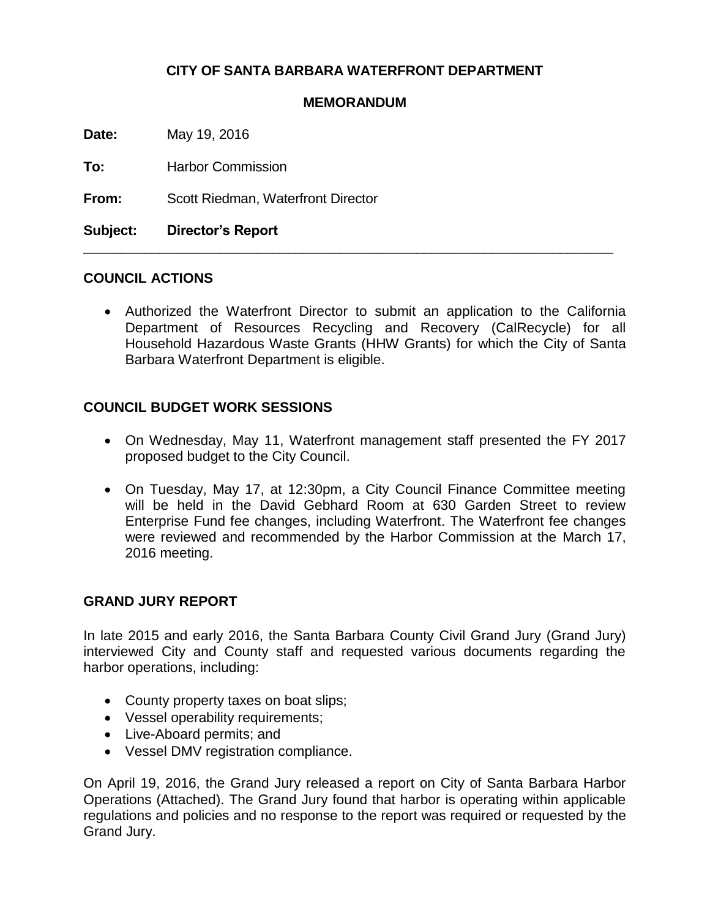### **CITY OF SANTA BARBARA WATERFRONT DEPARTMENT**

#### **MEMORANDUM**

\_\_\_\_\_\_\_\_\_\_\_\_\_\_\_\_\_\_\_\_\_\_\_\_\_\_\_\_\_\_\_\_\_\_\_\_\_\_\_\_\_\_\_\_\_\_\_\_\_\_\_\_\_\_\_\_\_\_\_\_\_\_\_\_\_\_\_\_\_\_

**Date:** May 19, 2016

**To:** Harbor Commission

**From:** Scott Riedman, Waterfront Director

**Subject: Director's Report**

#### **COUNCIL ACTIONS**

 Authorized the Waterfront Director to submit an application to the California Department of Resources Recycling and Recovery (CalRecycle) for all Household Hazardous Waste Grants (HHW Grants) for which the City of Santa Barbara Waterfront Department is eligible.

#### **COUNCIL BUDGET WORK SESSIONS**

- On Wednesday, May 11, Waterfront management staff presented the FY 2017 proposed budget to the City Council.
- On Tuesday, May 17, at 12:30pm, a City Council Finance Committee meeting will be held in the David Gebhard Room at 630 Garden Street to review Enterprise Fund fee changes, including Waterfront. The Waterfront fee changes were reviewed and recommended by the Harbor Commission at the March 17, 2016 meeting.

#### **GRAND JURY REPORT**

In late 2015 and early 2016, the Santa Barbara County Civil Grand Jury (Grand Jury) interviewed City and County staff and requested various documents regarding the harbor operations, including:

- County property taxes on boat slips;
- Vessel operability requirements;
- Live-Aboard permits: and
- Vessel DMV registration compliance.

On April 19, 2016, the Grand Jury released a report on City of Santa Barbara Harbor Operations (Attached). The Grand Jury found that harbor is operating within applicable regulations and policies and no response to the report was required or requested by the Grand Jury.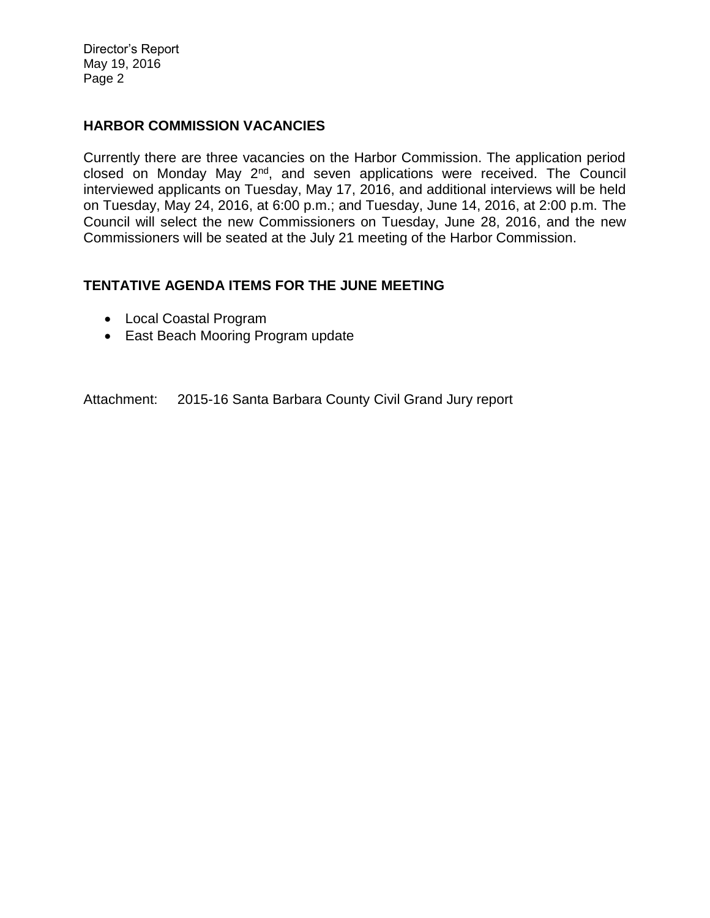Director's Report May 19, 2016 Page 2

#### **HARBOR COMMISSION VACANCIES**

Currently there are three vacancies on the Harbor Commission. The application period closed on Monday May 2nd, and seven applications were received. The Council interviewed applicants on Tuesday, May 17, 2016, and additional interviews will be held on Tuesday, May 24, 2016, at 6:00 p.m.; and Tuesday, June 14, 2016, at 2:00 p.m. The Council will select the new Commissioners on Tuesday, June 28, 2016, and the new Commissioners will be seated at the July 21 meeting of the Harbor Commission.

#### **TENTATIVE AGENDA ITEMS FOR THE JUNE MEETING**

- Local Coastal Program
- East Beach Mooring Program update

Attachment: 2015-16 Santa Barbara County Civil Grand Jury report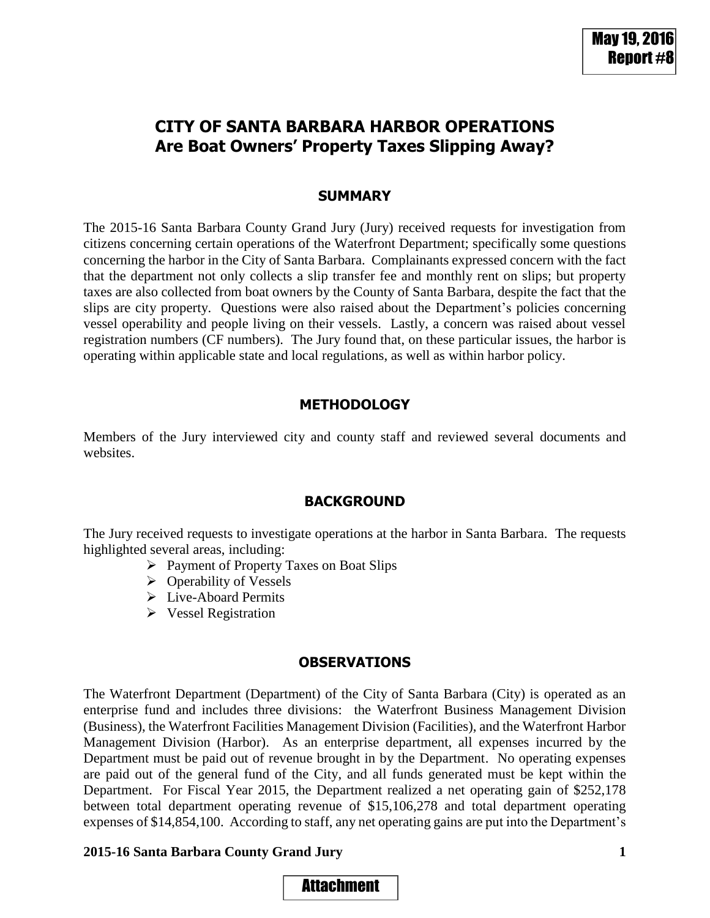# **CITY OF SANTA BARBARA HARBOR OPERATIONS Are Boat Owners' Property Taxes Slipping Away?**

### **SUMMARY**

The 2015-16 Santa Barbara County Grand Jury (Jury) received requests for investigation from citizens concerning certain operations of the Waterfront Department; specifically some questions concerning the harbor in the City of Santa Barbara. Complainants expressed concern with the fact that the department not only collects a slip transfer fee and monthly rent on slips; but property taxes are also collected from boat owners by the County of Santa Barbara, despite the fact that the slips are city property. Questions were also raised about the Department's policies concerning vessel operability and people living on their vessels. Lastly, a concern was raised about vessel registration numbers (CF numbers). The Jury found that, on these particular issues, the harbor is operating within applicable state and local regulations, as well as within harbor policy.

### **METHODOLOGY**

Members of the Jury interviewed city and county staff and reviewed several documents and websites.

### **BACKGROUND**

The Jury received requests to investigate operations at the harbor in Santa Barbara. The requests highlighted several areas, including:

- Payment of Property Taxes on Boat Slips
- $\triangleright$  Operability of Vessels
- Live-Aboard Permits
- Vessel Registration

#### **OBSERVATIONS**

The Waterfront Department (Department) of the City of Santa Barbara (City) is operated as an enterprise fund and includes three divisions: the Waterfront Business Management Division (Business), the Waterfront Facilities Management Division (Facilities), and the Waterfront Harbor Management Division (Harbor). As an enterprise department, all expenses incurred by the Department must be paid out of revenue brought in by the Department. No operating expenses are paid out of the general fund of the City, and all funds generated must be kept within the Department. For Fiscal Year 2015, the Department realized a net operating gain of \$252,178 between total department operating revenue of \$15,106,278 and total department operating expenses of \$14,854,100. According to staff, any net operating gains are put into the Department's

#### **2015-16 Santa Barbara County Grand Jury 1**

# Attachment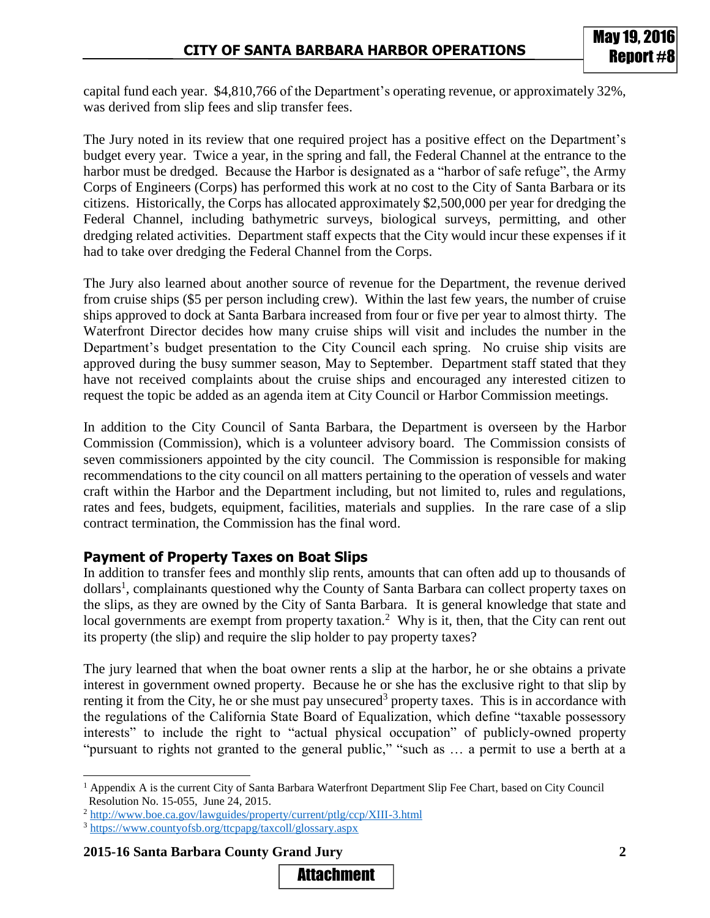capital fund each year. \$4,810,766 of the Department's operating revenue, or approximately 32%, was derived from slip fees and slip transfer fees.

The Jury noted in its review that one required project has a positive effect on the Department's budget every year. Twice a year, in the spring and fall, the Federal Channel at the entrance to the harbor must be dredged. Because the Harbor is designated as a "harbor of safe refuge", the Army Corps of Engineers (Corps) has performed this work at no cost to the City of Santa Barbara or its citizens. Historically, the Corps has allocated approximately \$2,500,000 per year for dredging the Federal Channel, including bathymetric surveys, biological surveys, permitting, and other dredging related activities. Department staff expects that the City would incur these expenses if it had to take over dredging the Federal Channel from the Corps.

The Jury also learned about another source of revenue for the Department, the revenue derived from cruise ships (\$5 per person including crew). Within the last few years, the number of cruise ships approved to dock at Santa Barbara increased from four or five per year to almost thirty. The Waterfront Director decides how many cruise ships will visit and includes the number in the Department's budget presentation to the City Council each spring. No cruise ship visits are approved during the busy summer season, May to September. Department staff stated that they have not received complaints about the cruise ships and encouraged any interested citizen to request the topic be added as an agenda item at City Council or Harbor Commission meetings.

In addition to the City Council of Santa Barbara, the Department is overseen by the Harbor Commission (Commission), which is a volunteer advisory board. The Commission consists of seven commissioners appointed by the city council. The Commission is responsible for making recommendations to the city council on all matters pertaining to the operation of vessels and water craft within the Harbor and the Department including, but not limited to, rules and regulations, rates and fees, budgets, equipment, facilities, materials and supplies. In the rare case of a slip contract termination, the Commission has the final word.

# **Payment of Property Taxes on Boat Slips**

In addition to transfer fees and monthly slip rents, amounts that can often add up to thousands of dollars<sup>1</sup>, complainants questioned why the County of Santa Barbara can collect property taxes on the slips, as they are owned by the City of Santa Barbara. It is general knowledge that state and local governments are exempt from property taxation.<sup>2</sup> Why is it, then, that the City can rent out its property (the slip) and require the slip holder to pay property taxes?

The jury learned that when the boat owner rents a slip at the harbor, he or she obtains a private interest in government owned property. Because he or she has the exclusive right to that slip by renting it from the City, he or she must pay unsecured<sup>3</sup> property taxes. This is in accordance with the regulations of the California State Board of Equalization, which define "taxable possessory interests" to include the right to "actual physical occupation" of publicly-owned property "pursuant to rights not granted to the general public," "such as … a permit to use a berth at a

**2015-16 Santa Barbara County Grand Jury 2**

 $\overline{a}$ 



<sup>1</sup> Appendix A is the current City of Santa Barbara Waterfront Department Slip Fee Chart, based on City Council Resolution No. 15-055, June 24, 2015.

<sup>2</sup> <http://www.boe.ca.gov/lawguides/property/current/ptlg/ccp/XIII-3.html>

<sup>3</sup> <https://www.countyofsb.org/ttcpapg/taxcoll/glossary.aspx>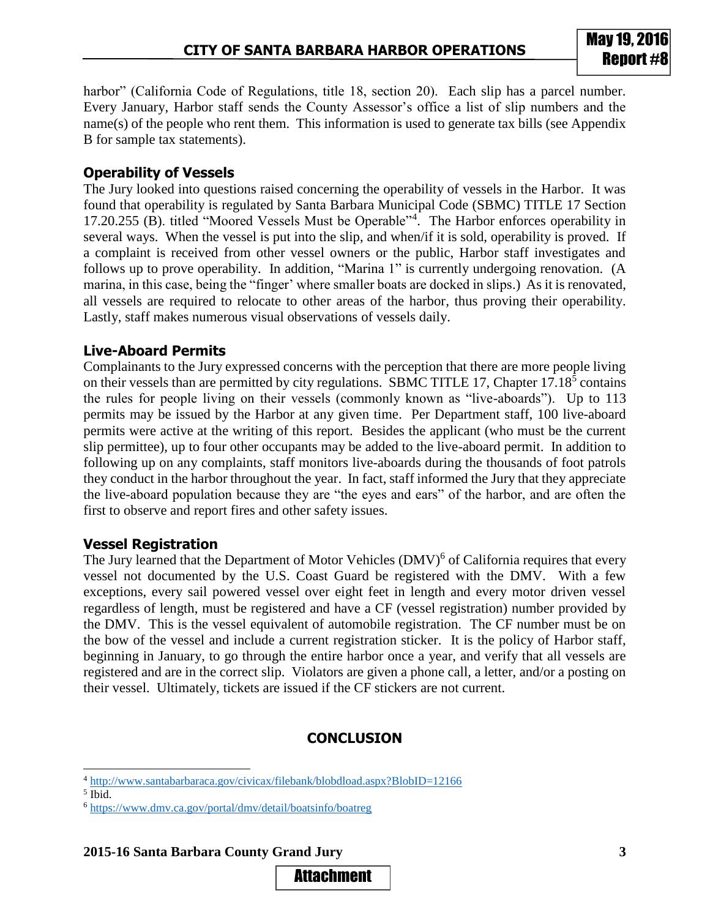harbor" (California Code of Regulations, title 18, section 20). Each slip has a parcel number. Every January, Harbor staff sends the County Assessor's office a list of slip numbers and the name(s) of the people who rent them. This information is used to generate tax bills (see Appendix B for sample tax statements).

### **Operability of Vessels**

The Jury looked into questions raised concerning the operability of vessels in the Harbor. It was found that operability is regulated by Santa Barbara Municipal Code (SBMC) TITLE 17 Section 17.20.255 (B). titled "Moored Vessels Must be Operable"<sup>4</sup> . The Harbor enforces operability in several ways. When the vessel is put into the slip, and when/if it is sold, operability is proved. If a complaint is received from other vessel owners or the public, Harbor staff investigates and follows up to prove operability. In addition, "Marina 1" is currently undergoing renovation. (A marina, in this case, being the "finger' where smaller boats are docked in slips.) As it is renovated, all vessels are required to relocate to other areas of the harbor, thus proving their operability. Lastly, staff makes numerous visual observations of vessels daily.

# **Live-Aboard Permits**

Complainants to the Jury expressed concerns with the perception that there are more people living on their vessels than are permitted by city regulations. SBMC TITLE 17, Chapter  $17.18<sup>5</sup>$  contains the rules for people living on their vessels (commonly known as "live-aboards"). Up to 113 permits may be issued by the Harbor at any given time. Per Department staff, 100 live-aboard permits were active at the writing of this report. Besides the applicant (who must be the current slip permittee), up to four other occupants may be added to the live-aboard permit. In addition to following up on any complaints, staff monitors live-aboards during the thousands of foot patrols they conduct in the harbor throughout the year. In fact, staff informed the Jury that they appreciate the live-aboard population because they are "the eyes and ears" of the harbor, and are often the first to observe and report fires and other safety issues.

# **Vessel Registration**

The Jury learned that the Department of Motor Vehicles (DMV)<sup>6</sup> of California requires that every vessel not documented by the U.S. Coast Guard be registered with the DMV. With a few exceptions, every sail powered vessel over eight feet in length and every motor driven vessel regardless of length, must be registered and have a CF (vessel registration) number provided by the DMV. This is the vessel equivalent of automobile registration. The CF number must be on the bow of the vessel and include a current registration sticker. It is the policy of Harbor staff, beginning in January, to go through the entire harbor once a year, and verify that all vessels are registered and are in the correct slip. Violators are given a phone call, a letter, and/or a posting on their vessel. Ultimately, tickets are issued if the CF stickers are not current.

# **CONCLUSION**

l

#### **2015-16 Santa Barbara County Grand Jury 3**

<sup>4</sup> <http://www.santabarbaraca.gov/civicax/filebank/blobdload.aspx?BlobID=12166>

<sup>5</sup> Ibid.

<sup>6</sup> <https://www.dmv.ca.gov/portal/dmv/detail/boatsinfo/boatreg>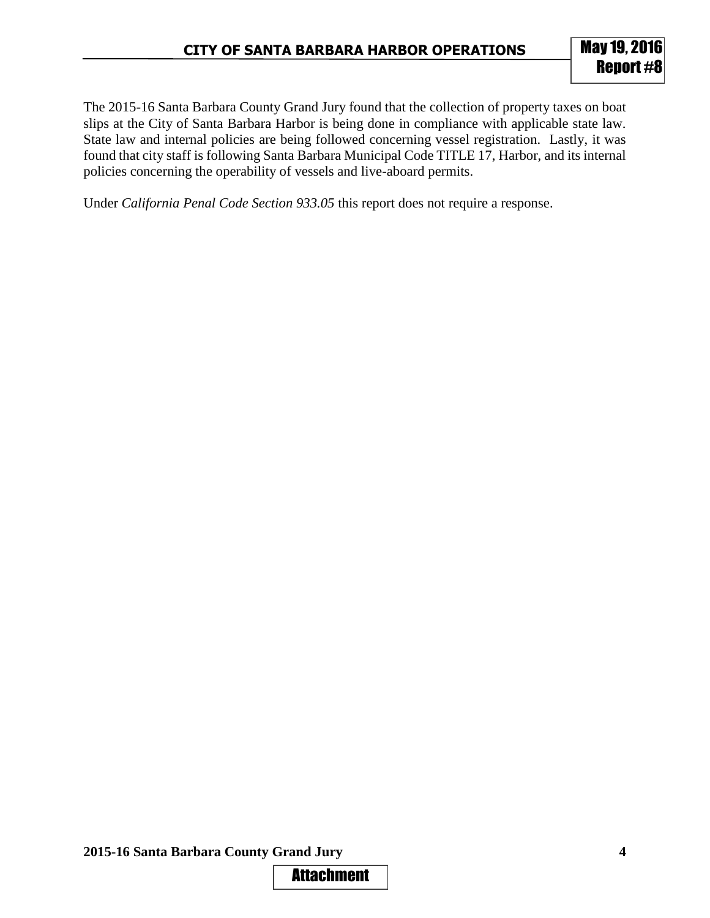The 2015-16 Santa Barbara County Grand Jury found that the collection of property taxes on boat slips at the City of Santa Barbara Harbor is being done in compliance with applicable state law. State law and internal policies are being followed concerning vessel registration. Lastly, it was found that city staff is following Santa Barbara Municipal Code TITLE 17, Harbor, and its internal policies concerning the operability of vessels and live-aboard permits.

Under *California Penal Code Section 933.05* this report does not require a response.

**2015-16 Santa Barbara County Grand Jury 4**

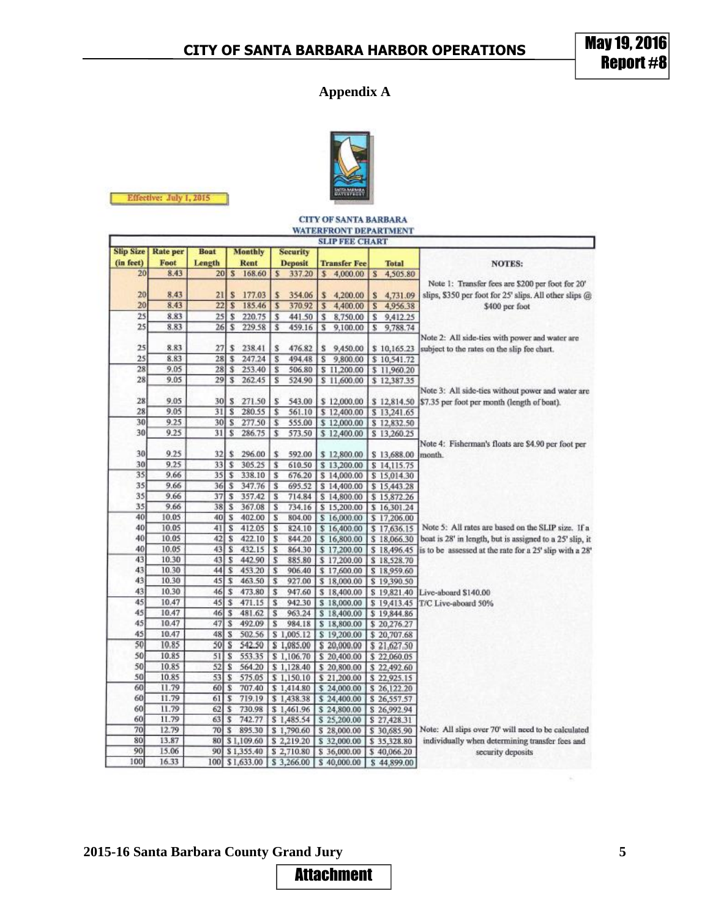# **Appendix A**



|                                                              | Effective: July 1, 2015 |                                                  |              |                  |                         |                          |                         |                            |              |                            |                                                          |  |  |
|--------------------------------------------------------------|-------------------------|--------------------------------------------------|--------------|------------------|-------------------------|--------------------------|-------------------------|----------------------------|--------------|----------------------------|----------------------------------------------------------|--|--|
|                                                              |                         |                                                  |              |                  |                         |                          |                         |                            |              |                            |                                                          |  |  |
| <b>CITY OF SANTA BARBARA</b><br><b>WATERFRONT DEPARTMENT</b> |                         |                                                  |              |                  |                         |                          |                         |                            |              |                            |                                                          |  |  |
| <b>SLIP FEE CHART</b>                                        |                         |                                                  |              |                  |                         |                          |                         |                            |              |                            |                                                          |  |  |
| <b>Slip Size</b>                                             | <b>Rate</b> per         | <b>Boat</b><br><b>Monthly</b><br><b>Security</b> |              |                  |                         |                          |                         |                            |              |                            |                                                          |  |  |
| (in feet)                                                    | Foot                    | Length                                           |              | Rent             | <b>Deposit</b>          |                          | <b>Transfer Fee</b>     |                            | <b>Total</b> |                            | <b>NOTES:</b>                                            |  |  |
| 20                                                           | 8.43                    | 20 <sub>l</sub>                                  | $\mathbf{s}$ | 168.60           |                         | 337.20                   | s                       | 4,000.00                   | S            | 4,505.80                   |                                                          |  |  |
|                                                              |                         |                                                  |              |                  |                         |                          |                         |                            |              |                            | Note 1: Transfer fees are \$200 per foot for 20'         |  |  |
| 20                                                           | 8.43                    | 21                                               | S            | 177.03           | S                       | 354.06                   | \$                      | 4,200.00                   | s            | 4,731.09                   | slips, \$350 per foot for 25' slips. All other slips @   |  |  |
| 20                                                           | 8.43                    | 22                                               | s            | 185.46           | $\overline{\mathbf{5}}$ | 370.92                   | $\overline{\mathbf{S}}$ | 4,400.00                   | s            | 4,956.38                   | \$400 per foot                                           |  |  |
| 25                                                           | 8.83                    | 25                                               | \$           | 220.75           | \$                      | 441.50                   | s                       | 8,750.00                   | s            | 9,412.25                   |                                                          |  |  |
| 25                                                           | 8.83                    | 26                                               | s            | 229.58           | ŝ                       | 459.16                   | s                       | 9,100.00                   | s            | 9,788.74                   |                                                          |  |  |
|                                                              |                         |                                                  |              |                  |                         |                          |                         |                            |              |                            | Note 2: All side-ties with power and water are           |  |  |
| 25                                                           | 8.83                    | 27                                               | s            | 238.41           | s                       | 476.82                   | s                       | 9,450.00                   |              | \$10,165.23                | subject to the rates on the slip fee chart.              |  |  |
| 25                                                           | 8.83                    | 28                                               | \$           | 247.24           | s                       | 494.48                   | s                       | 9,800.00                   |              | \$10,541.72                |                                                          |  |  |
| 28                                                           | 9.05                    | 28                                               | ŝ            | 253.40           | s                       | 506.80                   |                         | \$11,200.00                |              | \$11,960.20                |                                                          |  |  |
| 28                                                           | 9.05                    | 29                                               | S            | 262.45           | s                       | 524.90                   |                         | \$11,600.00                |              | \$12,387.35                |                                                          |  |  |
|                                                              |                         |                                                  |              |                  |                         |                          |                         |                            |              |                            | Note 3: All side-ties without power and water are        |  |  |
| 28                                                           | 9.05                    | 30                                               | s            | 271.50           | s                       | 543.00                   |                         | \$12,000.00                |              | \$12,814.50                | \$7.35 per foot per month (length of boat).              |  |  |
| 28                                                           | 9.05                    | 31                                               | s            | 280.55           | \$                      | 561.10                   |                         | \$12,400.00                |              | \$13,241.65                |                                                          |  |  |
| 30                                                           | 9.25                    | 30                                               | s            | 277.50           | s                       | 555.00                   |                         | \$12,000.00                |              | \$12,832.50                |                                                          |  |  |
| 30                                                           | 9.25                    | 31]                                              | s            | 286.75           | \$                      | 573.50                   |                         | \$12,400.00                |              | \$13,260.25                |                                                          |  |  |
|                                                              |                         |                                                  |              |                  |                         |                          |                         |                            |              |                            | Note 4: Fisherman's floats are \$4.90 per foot per       |  |  |
| 30                                                           | 9.25                    | 32                                               | \$           | 296.00           | s                       | 592.00                   |                         | \$12,800.00                |              | \$13,688.00                | month.                                                   |  |  |
| 30                                                           | 9.25                    | 33                                               | \$           | 305.25           | s                       | 610.50                   |                         | \$13,200.00                |              | \$14,115.75                |                                                          |  |  |
| 35                                                           | 9.66                    | 35                                               | \$           | 338.10           | s                       | 676.20                   |                         | \$14,000.00                |              | \$15,014.30                |                                                          |  |  |
| 35                                                           | 9.66                    | 36                                               | s            | 347.76           | Ιs                      | 695.52                   |                         | \$14,400.00                |              | \$15,443.28                |                                                          |  |  |
| 35                                                           | 9.66                    | 37                                               | s            | 357.42           | s                       | 714.84                   |                         | \$14,800.00                |              | \$15,872.26                |                                                          |  |  |
| 35                                                           | 9.66                    | 38                                               | S            | 367.08           | s                       | 734.16                   |                         | \$15,200.00                |              | \$16,301.24                |                                                          |  |  |
| 40                                                           | 10.05                   | 40                                               | $\mathbf{s}$ | 402.00           | s                       | 804.00                   |                         | \$16,000.00                |              | \$17,206.00                |                                                          |  |  |
| 40                                                           | 10.05                   | 41                                               | s            | 412.05           | s                       | 824.10                   |                         | \$16,400.00                |              | \$17,636.15                | Note 5: All rates are based on the SLIP size. If a       |  |  |
| 40                                                           | 10.05                   | 42                                               | s            | 422.10           | s                       | 844.20                   |                         | \$16,800.00                |              | \$18,066.30                | boat is 28' in length, but is assigned to a 25' slip, it |  |  |
| 40                                                           | 10.05                   | 43                                               | S            | 432.15           | s                       | 864.30                   |                         | \$17,200.00                |              | \$18,496.45                | is to be assessed at the rate for a 25' slip with a 28'  |  |  |
| 43                                                           | 10.30                   | 43                                               | s            | 442.90           | s                       | 885.80                   |                         | \$17,200.00                |              | \$18,528.70                |                                                          |  |  |
| 43                                                           | 10.30                   | 44                                               | s            | 453.20           | s                       | 906.40                   |                         | \$17,600.00                |              | \$18,959.60                |                                                          |  |  |
| 43                                                           | 10.30                   | 45                                               | \$           | 463.50           | \$                      | 927.00                   |                         | \$18,000.00                |              | \$19,390.50                |                                                          |  |  |
| 43                                                           | 10.30                   | 46                                               | \$           | 473.80           | \$                      | 947.60                   |                         | \$18,400.00                |              | \$19,821.40                | Live-aboard \$140.00                                     |  |  |
| 45                                                           | 10.47                   | 45                                               | ŝ            | 471.15           | s                       | 942.30                   |                         | \$18,000.00                |              |                            | \$19,413.45 T/C Live-aboard 50%                          |  |  |
| 45                                                           | 10.47                   | 46                                               | s            | 481.62           | s                       | 963.24                   |                         | \$18,400.00                |              | \$19,844.86                |                                                          |  |  |
| 45                                                           | 10.47                   | 47                                               | s            | 492.09           | s                       | 984.18                   |                         | \$18,800.00                |              | \$20,276.27                |                                                          |  |  |
| 45<br>50                                                     | 10.47                   | 48                                               | s            | 502.56           |                         | \$1,005.12               |                         | \$19,200.00                |              | \$20,707.68                |                                                          |  |  |
|                                                              | 10.85                   | 50                                               | s            | 542.50           |                         | \$1,085.00               |                         | \$20,000.00                |              | \$21,627.50                |                                                          |  |  |
| 50                                                           | 10.85                   | 51                                               | s            | 553.35           |                         | \$1,106.70               |                         | \$20,400.00                |              | \$22,060.05                |                                                          |  |  |
| 50<br>50                                                     | 10.85                   | 52                                               | \$           | 564.20           |                         | \$1,128.40               |                         | \$20,800.00                |              | \$22,492.60                |                                                          |  |  |
|                                                              | 10.85                   | 53S                                              |              | 575.05           |                         | \$1,150.10               |                         | \$21,200.00                |              | \$22,925.15                |                                                          |  |  |
| 60<br>60                                                     | 11.79                   | 60                                               | \$           | 707.40           |                         | \$1,414.80               |                         | \$24,000.00                |              | \$26,122.20                |                                                          |  |  |
| 60                                                           | 11.79                   | 61                                               | \$           | 719.19           |                         | \$1,438.38               |                         | \$24,400.00                |              | \$26,557.57                |                                                          |  |  |
| 60                                                           | 11.79<br>11.79          | 62<br>63                                         | \$<br>\$     | 730.98           |                         | \$1,461.96               |                         | \$24,800.00                |              | \$26,992.94                |                                                          |  |  |
| 70                                                           | 12.79                   | 70                                               | ŝ            | 742.77<br>895.30 |                         | \$1,485.54               |                         | \$25,200.00                |              | \$27,428.31                | Note: All slips over 70' will need to be calculated      |  |  |
| 80                                                           | 13.87                   | 80                                               |              | \$1,109.60       |                         | \$1,790.60<br>\$2,219.20 |                         | \$28,000.00<br>\$32,000.00 |              | \$30,685.90<br>\$35,328.80 | individually when determining transfer fees and          |  |  |
| 90                                                           | 15.06                   | 90                                               |              | \$1,355.40       |                         | \$2,710.80               |                         | \$36,000.00                |              | \$40,066.20                | security deposits                                        |  |  |
| 100                                                          | 16.33                   |                                                  |              | 100 \$1,633.00   |                         | \$3,266.00               |                         | \$40,000.00                |              | \$44,899.00                |                                                          |  |  |
|                                                              |                         |                                                  |              |                  |                         |                          |                         |                            |              |                            |                                                          |  |  |

**2015-16 Santa Barbara County Grand Jury 5**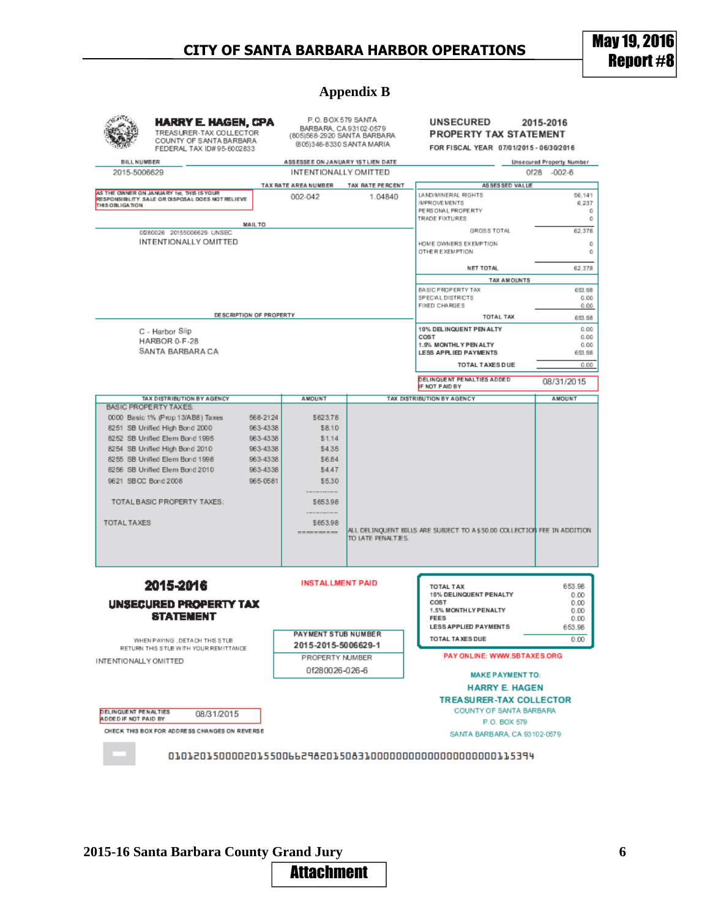### **Appendix B**

| <b>HARRY E. HAGEN, CPA</b><br>TREASURER-TAX COLLECTOR<br>COUNTY OF SANTA BARBARA<br>FEDERAL TAX ID#95-6002833 |                                                                                                |                         | BARBARA, CA 93102-0579<br>(805)568-2920 SANTA BARBARA<br>(805) 346-8330 SANTA MARIA | P.O. BOX 579 SANTA                                                                              | <b>UNSECURED</b><br>2015-2016<br>PROPERTY TAX STATEMENT<br>FOR FISCAL YEAR 07/01/2015 - 06/30/2016 |                      |  |  |
|---------------------------------------------------------------------------------------------------------------|------------------------------------------------------------------------------------------------|-------------------------|-------------------------------------------------------------------------------------|-------------------------------------------------------------------------------------------------|----------------------------------------------------------------------------------------------------|----------------------|--|--|
| BILL NUMBER                                                                                                   |                                                                                                |                         | ASSESSEE ON JANUARY 1ST LIEN DATE                                                   |                                                                                                 | <b>Unsecured Property Number</b>                                                                   |                      |  |  |
| 2015-5006629                                                                                                  |                                                                                                |                         | INTENTIONALLY OMITTED                                                               |                                                                                                 |                                                                                                    | Of28 -002-6          |  |  |
|                                                                                                               |                                                                                                |                         | TAX RATE AREA NUMBER                                                                | TAX RATE PERCENT                                                                                | ASSESSED VALUE                                                                                     |                      |  |  |
| <b>THIS OBLIGATION</b>                                                                                        | AS THE OWNER ON JANUARY 1st, THIS IS YOUR<br>RESPONSIBILITY. SALE OR DISPOSAL DOES NOT RELIEVE |                         | 002-042                                                                             | 1.04840                                                                                         | LANDJMINERAL RIGHTS<br><b>IMPROVEMENTS</b><br>PERSONAL PROPERTY                                    | 56,141<br>6,237<br>0 |  |  |
|                                                                                                               |                                                                                                | <b>MAIL TO</b>          |                                                                                     |                                                                                                 | TRADE FIXTURES                                                                                     | 0                    |  |  |
|                                                                                                               | 0280026 20155006629 UNSEC                                                                      |                         |                                                                                     |                                                                                                 | GROSS TOTAL                                                                                        | 62.378               |  |  |
|                                                                                                               | INTENTIONALLY OMITTED                                                                          |                         |                                                                                     |                                                                                                 | HOME OWNERS EXEMPTION<br><b>OTHER EXEMPTION</b>                                                    | 0<br>0               |  |  |
|                                                                                                               |                                                                                                |                         |                                                                                     |                                                                                                 | NET TOTAL                                                                                          | 62,378               |  |  |
|                                                                                                               |                                                                                                |                         |                                                                                     |                                                                                                 | <b>TAX AMOUNTS</b>                                                                                 |                      |  |  |
|                                                                                                               |                                                                                                |                         |                                                                                     |                                                                                                 | BASIC PROPERTY TAX                                                                                 | 663.98               |  |  |
|                                                                                                               |                                                                                                |                         |                                                                                     |                                                                                                 | SPECIAL DISTRICTS<br>FIXED CHARGES                                                                 | 0.00<br>0.00         |  |  |
|                                                                                                               |                                                                                                | DESCRIPTION OF PROPERTY |                                                                                     |                                                                                                 | TOTAL TAX                                                                                          |                      |  |  |
|                                                                                                               |                                                                                                |                         |                                                                                     |                                                                                                 |                                                                                                    | 653.98               |  |  |
|                                                                                                               | C - Harbor Slip                                                                                |                         |                                                                                     |                                                                                                 | 10% DELINQUENT PEN ALTY<br>COST                                                                    | 0.00<br>0.00         |  |  |
|                                                                                                               | HARBOR 0-F-28<br>SANTA BARBARA CA                                                              |                         |                                                                                     |                                                                                                 | 1.5% MONTHLY PEN ALTY                                                                              | 0.00                 |  |  |
|                                                                                                               |                                                                                                |                         |                                                                                     |                                                                                                 | LESS APPLIED PAYMENTS                                                                              | 663.98               |  |  |
|                                                                                                               |                                                                                                |                         |                                                                                     |                                                                                                 | TOTAL TAXES DUE                                                                                    | 0.00                 |  |  |
|                                                                                                               |                                                                                                |                         |                                                                                     |                                                                                                 | DELINQUENT PENALTIES ADDED<br>IF NOT PAID BY                                                       | 08/31/2015           |  |  |
|                                                                                                               | TAX DISTRIBUTION BY AGENCY                                                                     |                         | AMOUNT                                                                              |                                                                                                 | TAX DISTRIBUTION BY AGENCY                                                                         | AMOUNT               |  |  |
|                                                                                                               | <b>BASIC PROPERTY TAXES:</b>                                                                   |                         |                                                                                     |                                                                                                 |                                                                                                    |                      |  |  |
|                                                                                                               | 0000 Basic 1% (Prop 13/AB8) Taxes                                                              | 568-2124                | \$623.78                                                                            |                                                                                                 |                                                                                                    |                      |  |  |
|                                                                                                               | 8251 SB Unified High Bond 2000                                                                 | 963-4338                | \$8.10                                                                              |                                                                                                 |                                                                                                    |                      |  |  |
|                                                                                                               | 8252 SB Unified Elem Bond 1995<br>8254 SB Unified High Bond 2010                               | 963-4338<br>963-4338    | \$1.14<br>\$4.35                                                                    |                                                                                                 |                                                                                                    |                      |  |  |
|                                                                                                               | 8255 SB Unified Elem Bond 1998                                                                 | 963-4338                | \$6.84                                                                              |                                                                                                 |                                                                                                    |                      |  |  |
|                                                                                                               |                                                                                                | 963-4338                | \$4.47                                                                              |                                                                                                 |                                                                                                    |                      |  |  |
| 8256 SB Unified Elem Bond 2010<br>9621 SBOC Bond 2008                                                         |                                                                                                | 965-0581                | \$5.30                                                                              |                                                                                                 |                                                                                                    |                      |  |  |
|                                                                                                               |                                                                                                |                         |                                                                                     |                                                                                                 |                                                                                                    |                      |  |  |
|                                                                                                               | TOTAL BASIC PROPERTY TAXES:                                                                    |                         | \$653.98                                                                            |                                                                                                 |                                                                                                    |                      |  |  |
|                                                                                                               |                                                                                                |                         |                                                                                     |                                                                                                 |                                                                                                    |                      |  |  |
| <b>TOTAL TAXES</b>                                                                                            |                                                                                                |                         | \$653.98<br>--------                                                                | ALL DELINQUENT BILLS ARE SUBJECT TO A \$ 50.00 COLLECTION FEE IN ADDITION<br>TO LATE PENALTIES. |                                                                                                    |                      |  |  |
|                                                                                                               | 2015-2016                                                                                      |                         | <b>INSTALLMENT PAID</b>                                                             |                                                                                                 | TOTAL TAX<br>10% DELINQUENT PENALTY                                                                | 653.98<br>0.00       |  |  |
|                                                                                                               | <b>UNSECURED PROPERTY TAX</b>                                                                  |                         |                                                                                     |                                                                                                 | COST<br>1.5% MONTH LY PENALTY                                                                      | 0.00<br>0.00         |  |  |
|                                                                                                               | <b>STATEMENT</b>                                                                               |                         |                                                                                     |                                                                                                 | <b>FEES</b>                                                                                        | 0.00                 |  |  |
|                                                                                                               |                                                                                                |                         | PAYMENT STUB NUMBER                                                                 |                                                                                                 | LESS APPLIED PAYMENTS                                                                              | 653.98               |  |  |
| WHEN PAYING, DETACH THIS STUB<br>RETURN THIS STUB WITH YOUR REMITTANCE                                        |                                                                                                |                         | 2015-2015-5006629-1                                                                 |                                                                                                 | TOTAL TAXES DUE                                                                                    | 0.00                 |  |  |
| INTENTIONALLY OMITTED                                                                                         |                                                                                                |                         | PROPERTY NUMBER                                                                     |                                                                                                 | PAY ONLINE: WWW.SBTAXES.ORG                                                                        |                      |  |  |
|                                                                                                               |                                                                                                |                         | 0f280026-026-6                                                                      |                                                                                                 | <b>MAKE PAYMENT TO:</b>                                                                            |                      |  |  |
|                                                                                                               |                                                                                                |                         |                                                                                     |                                                                                                 | <b>HARRY E. HAGEN</b>                                                                              |                      |  |  |
| DELINQUENT PENALTIES                                                                                          | 08/31/2015                                                                                     |                         |                                                                                     |                                                                                                 | <b>TREASURER-TAX COLLECTOR</b><br>COUNTY OF SANTA BARBARA                                          |                      |  |  |
| ADDED IF NOT PAID BY                                                                                          |                                                                                                |                         |                                                                                     |                                                                                                 | P.O. BOX 579                                                                                       |                      |  |  |
|                                                                                                               | CHECK THIS BOX FOR ADDRESS CHANGES ON REVERSE                                                  |                         |                                                                                     |                                                                                                 | SANTA BARBARA, CA 93102-0579                                                                       |                      |  |  |
|                                                                                                               |                                                                                                |                         |                                                                                     |                                                                                                 |                                                                                                    |                      |  |  |

**2015-16 Santa Barbara County Grand Jury 6**